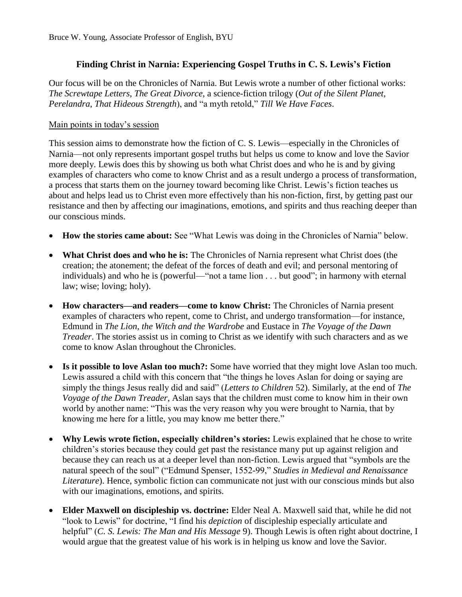# **Finding Christ in Narnia: Experiencing Gospel Truths in C. S. Lewis's Fiction**

Our focus will be on the Chronicles of Narnia. But Lewis wrote a number of other fictional works: *The Screwtape Letters*, *The Great Divorce*, a science-fiction trilogy (*Out of the Silent Planet*, *Perelandra*, *That Hideous Strength*), and "a myth retold," *Till We Have Faces*.

#### Main points in today's session

This session aims to demonstrate how the fiction of C. S. Lewis—especially in the Chronicles of Narnia—not only represents important gospel truths but helps us come to know and love the Savior more deeply. Lewis does this by showing us both what Christ does and who he is and by giving examples of characters who come to know Christ and as a result undergo a process of transformation, a process that starts them on the journey toward becoming like Christ. Lewis's fiction teaches us about and helps lead us to Christ even more effectively than his non-fiction, first, by getting past our resistance and then by affecting our imaginations, emotions, and spirits and thus reaching deeper than our conscious minds.

- **How the stories came about:** See "What Lewis was doing in the Chronicles of Narnia" below.
- **What Christ does and who he is:** The Chronicles of Narnia represent what Christ does (the creation; the atonement; the defeat of the forces of death and evil; and personal mentoring of individuals) and who he is (powerful—"not a tame lion . . . but good"; in harmony with eternal law; wise; loving; holy).
- **How characters—and readers—come to know Christ:** The Chronicles of Narnia present examples of characters who repent, come to Christ, and undergo transformation—for instance, Edmund in *The Lion, the Witch and the Wardrobe* and Eustace in *The Voyage of the Dawn Treader*. The stories assist us in coming to Christ as we identify with such characters and as we come to know Aslan throughout the Chronicles.
- **Is it possible to love Aslan too much?:** Some have worried that they might love Aslan too much. Lewis assured a child with this concern that "the things he loves Aslan for doing or saying are simply the things Jesus really did and said" (*Letters to Children* 52). Similarly, at the end of *The Voyage of the Dawn Treader*, Aslan says that the children must come to know him in their own world by another name: "This was the very reason why you were brought to Narnia, that by knowing me here for a little, you may know me better there."
- **Why Lewis wrote fiction, especially children's stories:** Lewis explained that he chose to write children's stories because they could get past the resistance many put up against religion and because they can reach us at a deeper level than non-fiction. Lewis argued that "symbols are the natural speech of the soul" ("Edmund Spenser, 1552-99," *Studies in Medieval and Renaissance Literature*). Hence, symbolic fiction can communicate not just with our conscious minds but also with our imaginations, emotions, and spirits.
- **Elder Maxwell on discipleship vs. doctrine:** Elder Neal A. Maxwell said that, while he did not "look to Lewis" for doctrine, "I find his *depiction* of discipleship especially articulate and helpful" (*C. S. Lewis: The Man and His Message* 9). Though Lewis is often right about doctrine, I would argue that the greatest value of his work is in helping us know and love the Savior.